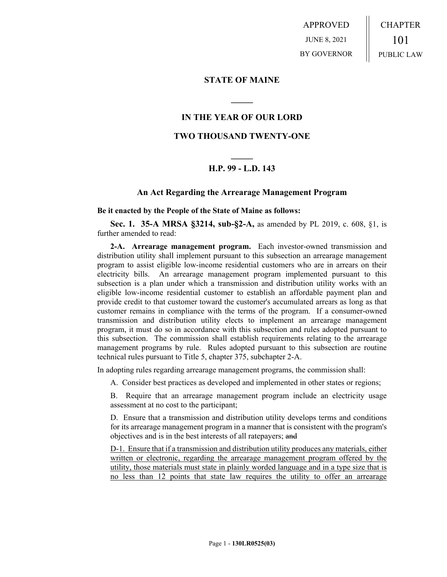APPROVED JUNE 8, 2021 BY GOVERNOR CHAPTER 101 PUBLIC LAW

**STATE OF MAINE**

## **IN THE YEAR OF OUR LORD**

**\_\_\_\_\_**

## **TWO THOUSAND TWENTY-ONE**

## **\_\_\_\_\_ H.P. 99 - L.D. 143**

## **An Act Regarding the Arrearage Management Program**

**Be it enacted by the People of the State of Maine as follows:**

**Sec. 1. 35-A MRSA §3214, sub-§2-A,** as amended by PL 2019, c. 608, §1, is further amended to read:

**2-A. Arrearage management program.** Each investor-owned transmission and distribution utility shall implement pursuant to this subsection an arrearage management program to assist eligible low-income residential customers who are in arrears on their electricity bills. An arrearage management program implemented pursuant to this subsection is a plan under which a transmission and distribution utility works with an eligible low-income residential customer to establish an affordable payment plan and provide credit to that customer toward the customer's accumulated arrears as long as that customer remains in compliance with the terms of the program. If a consumer-owned transmission and distribution utility elects to implement an arrearage management program, it must do so in accordance with this subsection and rules adopted pursuant to this subsection. The commission shall establish requirements relating to the arrearage management programs by rule. Rules adopted pursuant to this subsection are routine technical rules pursuant to Title 5, chapter 375, subchapter 2-A.

In adopting rules regarding arrearage management programs, the commission shall:

A. Consider best practices as developed and implemented in other states or regions;

B. Require that an arrearage management program include an electricity usage assessment at no cost to the participant;

D. Ensure that a transmission and distribution utility develops terms and conditions for its arrearage management program in a manner that is consistent with the program's objectives and is in the best interests of all ratepayers; and

D-1. Ensure that if a transmission and distribution utility produces any materials, either written or electronic, regarding the arrearage management program offered by the utility, those materials must state in plainly worded language and in a type size that is no less than 12 points that state law requires the utility to offer an arrearage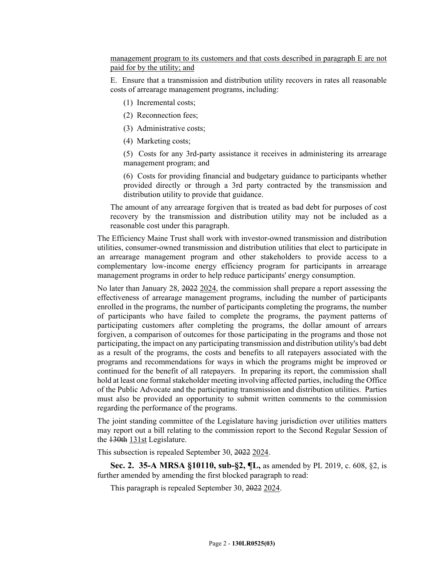management program to its customers and that costs described in paragraph E are not paid for by the utility; and

E. Ensure that a transmission and distribution utility recovers in rates all reasonable costs of arrearage management programs, including:

- (1) Incremental costs;
- (2) Reconnection fees;
- (3) Administrative costs;
- (4) Marketing costs;

(5) Costs for any 3rd-party assistance it receives in administering its arrearage management program; and

(6) Costs for providing financial and budgetary guidance to participants whether provided directly or through a 3rd party contracted by the transmission and distribution utility to provide that guidance.

The amount of any arrearage forgiven that is treated as bad debt for purposes of cost recovery by the transmission and distribution utility may not be included as a reasonable cost under this paragraph.

The Efficiency Maine Trust shall work with investor-owned transmission and distribution utilities, consumer-owned transmission and distribution utilities that elect to participate in an arrearage management program and other stakeholders to provide access to a complementary low-income energy efficiency program for participants in arrearage management programs in order to help reduce participants' energy consumption.

No later than January 28, 2022 2024, the commission shall prepare a report assessing the effectiveness of arrearage management programs, including the number of participants enrolled in the programs, the number of participants completing the programs, the number of participants who have failed to complete the programs, the payment patterns of participating customers after completing the programs, the dollar amount of arrears forgiven, a comparison of outcomes for those participating in the programs and those not participating, the impact on any participating transmission and distribution utility's bad debt as a result of the programs, the costs and benefits to all ratepayers associated with the programs and recommendations for ways in which the programs might be improved or continued for the benefit of all ratepayers. In preparing its report, the commission shall hold at least one formal stakeholder meeting involving affected parties, including the Office of the Public Advocate and the participating transmission and distribution utilities. Parties must also be provided an opportunity to submit written comments to the commission regarding the performance of the programs.

The joint standing committee of the Legislature having jurisdiction over utilities matters may report out a bill relating to the commission report to the Second Regular Session of the 130th 131st Legislature.

This subsection is repealed September 30, 2022 2024.

**Sec. 2. 35-A MRSA §10110, sub-§2, ¶L,** as amended by PL 2019, c. 608, §2, is further amended by amending the first blocked paragraph to read:

This paragraph is repealed September 30, 2022 2024.